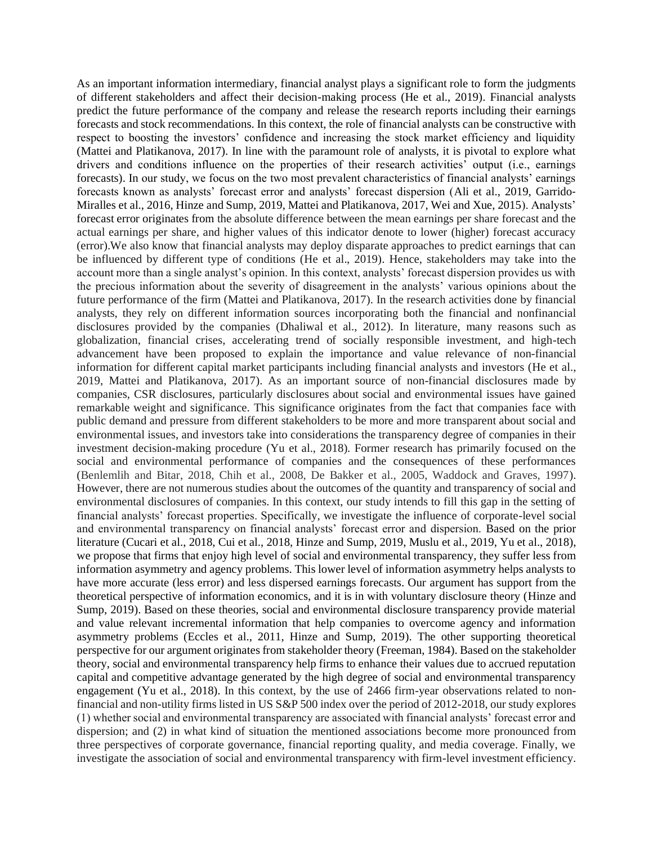As an important information intermediary, financial analyst plays a significant role to form the judgments of different stakeholders and affect their decision-making process (He et al., 2019). Financial analysts predict the future performance of the company and release the research reports including their earnings forecasts and stock recommendations. In this context, the role of financial analysts can be constructive with respect to boosting the investors' confidence and increasing the stock market efficiency and liquidity (Mattei and Platikanova, 2017). In line with the paramount role of analysts, it is pivotal to explore what drivers and conditions influence on the properties of their research activities' output (i.e., earnings forecasts). In our study, we focus on the two most prevalent characteristics of financial analysts' earnings forecasts known as analysts' forecast error and analysts' forecast dispersion (Ali et al., 2019, Garrido-Miralles et al., 2016, Hinze and Sump, 2019, Mattei and Platikanova, 2017, Wei and Xue, 2015). Analysts' forecast error originates from the absolute difference between the mean earnings per share forecast and the actual earnings per share, and higher values of this indicator denote to lower (higher) forecast accuracy (error).We also know that financial analysts may deploy disparate approaches to predict earnings that can be influenced by different type of conditions (He et al., 2019). Hence, stakeholders may take into the account more than a single analyst's opinion. In this context, analysts' forecast dispersion provides us with the precious information about the severity of disagreement in the analysts' various opinions about the future performance of the firm (Mattei and Platikanova, 2017). In the research activities done by financial analysts, they rely on different information sources incorporating both the financial and nonfinancial disclosures provided by the companies (Dhaliwal et al., 2012). In literature, many reasons such as globalization, financial crises, accelerating trend of socially responsible investment, and high-tech advancement have been proposed to explain the importance and value relevance of non-financial information for different capital market participants including financial analysts and investors (He et al., 2019, Mattei and Platikanova, 2017). As an important source of non-financial disclosures made by companies, CSR disclosures, particularly disclosures about social and environmental issues have gained remarkable weight and significance. This significance originates from the fact that companies face with public demand and pressure from different stakeholders to be more and more transparent about social and environmental issues, and investors take into considerations the transparency degree of companies in their investment decision-making procedure (Yu et al., 2018). Former research has primarily focused on the social and environmental performance of companies and the consequences of these performances (Benlemlih and Bitar, 2018, Chih et al., 2008, De Bakker et al., 2005, Waddock and Graves, 1997). However, there are not numerous studies about the outcomes of the quantity and transparency of social and environmental disclosures of companies. In this context, our study intends to fill this gap in the setting of financial analysts' forecast properties. Specifically, we investigate the influence of corporate-level social and environmental transparency on financial analysts' forecast error and dispersion. Based on the prior literature (Cucari et al., 2018, Cui et al., 2018, Hinze and Sump, 2019, Muslu et al., 2019, Yu et al., 2018), we propose that firms that enjoy high level of social and environmental transparency, they suffer less from information asymmetry and agency problems. This lower level of information asymmetry helps analysts to have more accurate (less error) and less dispersed earnings forecasts. Our argument has support from the theoretical perspective of information economics, and it is in with voluntary disclosure theory (Hinze and Sump, 2019). Based on these theories, social and environmental disclosure transparency provide material and value relevant incremental information that help companies to overcome agency and information asymmetry problems (Eccles et al., 2011, Hinze and Sump, 2019). The other supporting theoretical perspective for our argument originates from stakeholder theory (Freeman, 1984). Based on the stakeholder theory, social and environmental transparency help firms to enhance their values due to accrued reputation capital and competitive advantage generated by the high degree of social and environmental transparency engagement (Yu et al., 2018). In this context, by the use of 2466 firm-year observations related to nonfinancial and non-utility firms listed in US S&P 500 index over the period of 2012-2018, our study explores (1) whether social and environmental transparency are associated with financial analysts' forecast error and dispersion; and (2) in what kind of situation the mentioned associations become more pronounced from three perspectives of corporate governance, financial reporting quality, and media coverage. Finally, we investigate the association of social and environmental transparency with firm-level investment efficiency.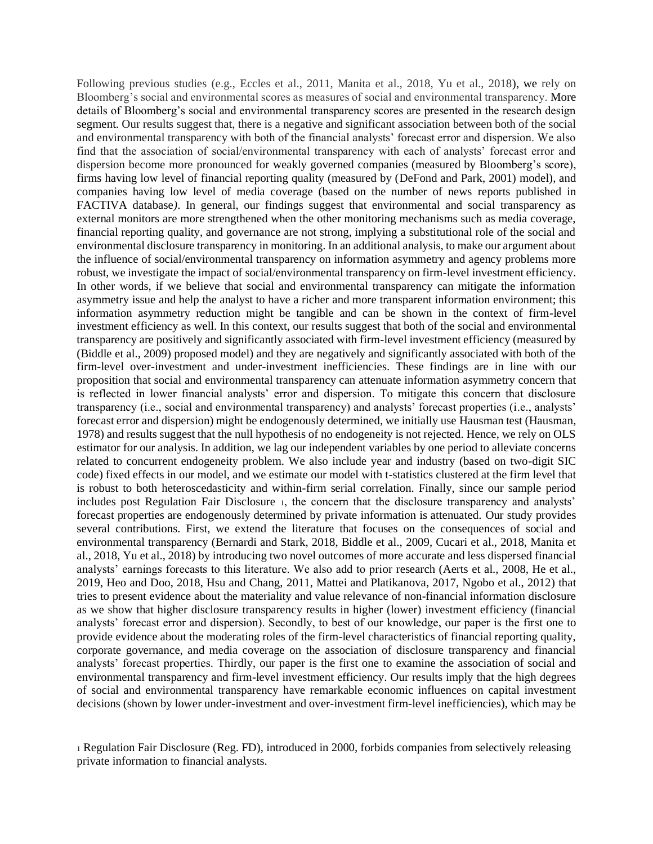Following previous studies (e.g., Eccles et al., 2011, Manita et al., 2018, Yu et al., 2018), we rely on Bloomberg's social and environmental scores as measures of social and environmental transparency. More details of Bloomberg's social and environmental transparency scores are presented in the research design segment. Our results suggest that, there is a negative and significant association between both of the social and environmental transparency with both of the financial analysts' forecast error and dispersion. We also find that the association of social/environmental transparency with each of analysts' forecast error and dispersion become more pronounced for weakly governed companies (measured by Bloomberg's score), firms having low level of financial reporting quality (measured by (DeFond and Park, 2001) model), and companies having low level of media coverage (based on the number of news reports published in FACTIVA database*)*. In general, our findings suggest that environmental and social transparency as external monitors are more strengthened when the other monitoring mechanisms such as media coverage, financial reporting quality, and governance are not strong, implying a substitutional role of the social and environmental disclosure transparency in monitoring. In an additional analysis, to make our argument about the influence of social/environmental transparency on information asymmetry and agency problems more robust, we investigate the impact of social/environmental transparency on firm-level investment efficiency. In other words, if we believe that social and environmental transparency can mitigate the information asymmetry issue and help the analyst to have a richer and more transparent information environment; this information asymmetry reduction might be tangible and can be shown in the context of firm-level investment efficiency as well. In this context, our results suggest that both of the social and environmental transparency are positively and significantly associated with firm-level investment efficiency (measured by (Biddle et al., 2009) proposed model) and they are negatively and significantly associated with both of the firm-level over-investment and under-investment inefficiencies. These findings are in line with our proposition that social and environmental transparency can attenuate information asymmetry concern that is reflected in lower financial analysts' error and dispersion. To mitigate this concern that disclosure transparency (i.e., social and environmental transparency) and analysts' forecast properties (i.e., analysts' forecast error and dispersion) might be endogenously determined, we initially use Hausman test (Hausman, 1978) and results suggest that the null hypothesis of no endogeneity is not rejected. Hence, we rely on OLS estimator for our analysis. In addition, we lag our independent variables by one period to alleviate concerns related to concurrent endogeneity problem. We also include year and industry (based on two-digit SIC code) fixed effects in our model, and we estimate our model with t-statistics clustered at the firm level that is robust to both heteroscedasticity and within-firm serial correlation. Finally, since our sample period includes post Regulation Fair Disclosure 1, the concern that the disclosure transparency and analysts' forecast properties are endogenously determined by private information is attenuated. Our study provides several contributions. First, we extend the literature that focuses on the consequences of social and environmental transparency (Bernardi and Stark, 2018, Biddle et al., 2009, Cucari et al., 2018, Manita et al., 2018, Yu et al., 2018) by introducing two novel outcomes of more accurate and less dispersed financial analysts' earnings forecasts to this literature. We also add to prior research (Aerts et al., 2008, He et al., 2019, Heo and Doo, 2018, Hsu and Chang, 2011, Mattei and Platikanova, 2017, Ngobo et al., 2012) that tries to present evidence about the materiality and value relevance of non-financial information disclosure as we show that higher disclosure transparency results in higher (lower) investment efficiency (financial analysts' forecast error and dispersion). Secondly, to best of our knowledge, our paper is the first one to provide evidence about the moderating roles of the firm-level characteristics of financial reporting quality, corporate governance, and media coverage on the association of disclosure transparency and financial analysts' forecast properties. Thirdly, our paper is the first one to examine the association of social and environmental transparency and firm-level investment efficiency. Our results imply that the high degrees of social and environmental transparency have remarkable economic influences on capital investment decisions (shown by lower under-investment and over-investment firm-level inefficiencies), which may be

<sup>1</sup> Regulation Fair Disclosure (Reg. FD), introduced in 2000, forbids companies from selectively releasing private information to financial analysts.